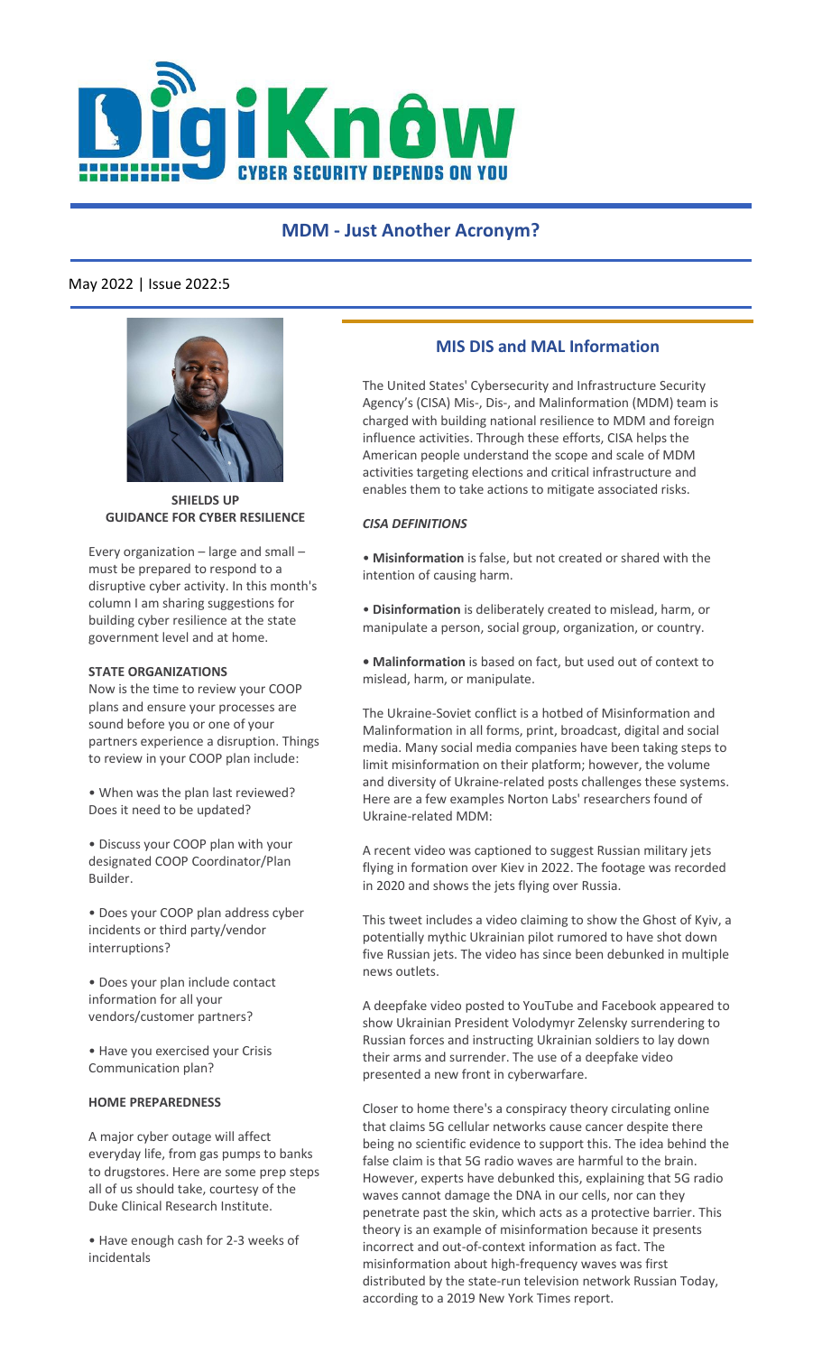

# **MDM - Just Another Acronym?**

# May 2022 | Issue 2022:5



**SHIELDS UP GUIDANCE FOR CYBER RESILIENCE**

Every organization – large and small – must be prepared to respond to a disruptive cyber activity. In this month's column I am sharing suggestions for building cyber resilience at the state government level and at home.

### **STATE ORGANIZATIONS**

Now is the time to review your COOP plans and ensure your processes are sound before you or one of your partners experience a disruption. Things to review in your COOP plan include:

• When was the plan last reviewed? Does it need to be updated?

• Discuss your COOP plan with your designated COOP Coordinator/Plan Builder.

• Does your COOP plan address cyber incidents or third party/vendor interruptions?

• Does your plan include contact information for all your vendors/customer partners?

• Have you exercised your Crisis Communication plan?

#### **HOME PREPAREDNESS**

A major cyber outage will affect everyday life, from gas pumps to banks to drugstores. Here are some prep steps all of us should take, courtesy of the Duke Clinical Research Institute.

• Have enough cash for 2-3 weeks of incidentals

## **MIS DIS and MAL Information**

The United States' Cybersecurity and Infrastructure Security Agency's (CISA) Mis-, Dis-, and Malinformation (MDM) team is charged with building national resilience to MDM and foreign influence activities. Through these efforts, CISA helps the American people understand the scope and scale of MDM activities targeting elections and critical infrastructure and enables them to take actions to mitigate associated risks.

### *CISA DEFINITIONS*

• **Misinformation** is false, but not created or shared with the intention of causing harm.

• **Disinformation** is deliberately created to mislead, harm, or manipulate a person, social group, organization, or country.

**• Malinformation** is based on fact, but used out of context to mislead, harm, or manipulate.

The Ukraine-Soviet conflict is a hotbed of Misinformation and Malinformation in all forms, print, broadcast, digital and social media. Many social media companies have been taking steps to limit misinformation on their platform; however, the volume and diversity of Ukraine-related posts challenges these systems. Here are a few examples Norton Labs' researchers found of Ukraine-related MDM:

A recent video was captioned to suggest Russian military jets flying in formation over Kiev in 2022. The footage was recorded in 2020 and shows the jets flying over Russia.

This tweet includes a video claiming to show the Ghost of Kyiv, a potentially mythic Ukrainian pilot rumored to have shot down five Russian jets. The video has since been debunked in multiple news outlets.

A deepfake video posted to YouTube and Facebook appeared to show Ukrainian President Volodymyr Zelensky surrendering to Russian forces and instructing Ukrainian soldiers to lay down their arms and surrender. The use of a deepfake video presented a new front in cyberwarfare.

Closer to home there's a conspiracy theory circulating online that claims 5G cellular networks cause cancer despite there being no scientific evidence to support this. The idea behind the false claim is that 5G radio waves are harmful to the brain. However, experts have debunked this, explaining that 5G radio waves cannot damage the DNA in our cells, nor can they penetrate past the skin, which acts as a protective barrier. This theory is an example of misinformation because it presents incorrect and out-of-context information as fact. The misinformation about high-frequency waves was first distributed by the state-run television network Russian Today, according to a 2019 New York Times report.